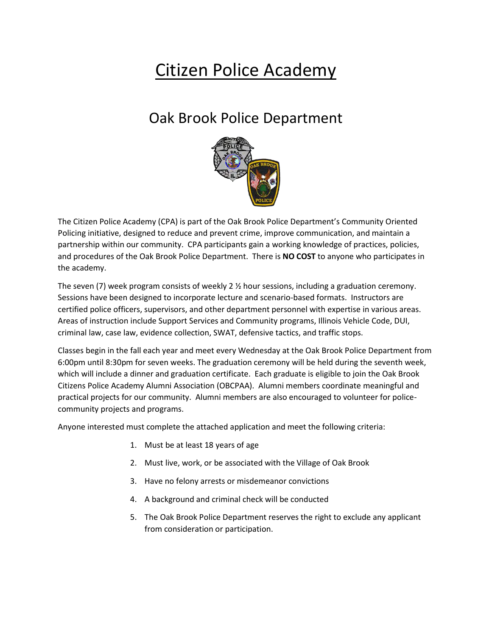## Citizen Police Academy

## Oak Brook Police Department



The Citizen Police Academy (CPA) is part of the Oak Brook Police Department's Community Oriented Policing initiative, designed to reduce and prevent crime, improve communication, and maintain a partnership within our community. CPA participants gain a working knowledge of practices, policies, and procedures of the Oak Brook Police Department. There is **NO COST** to anyone who participates in the academy.

The seven (7) week program consists of weekly 2 ½ hour sessions, including a graduation ceremony. Sessions have been designed to incorporate lecture and scenario-based formats. Instructors are certified police officers, supervisors, and other department personnel with expertise in various areas. Areas of instruction include Support Services and Community programs, Illinois Vehicle Code, DUI, criminal law, case law, evidence collection, SWAT, defensive tactics, and traffic stops.

Classes begin in the fall each year and meet every Wednesday at the Oak Brook Police Department from 6:00pm until 8:30pm for seven weeks. The graduation ceremony will be held during the seventh week, which will include a dinner and graduation certificate. Each graduate is eligible to join the Oak Brook Citizens Police Academy Alumni Association (OBCPAA). Alumni members coordinate meaningful and practical projects for our community. Alumni members are also encouraged to volunteer for policecommunity projects and programs.

Anyone interested must complete the attached application and meet the following criteria:

- 1. Must be at least 18 years of age
- 2. Must live, work, or be associated with the Village of Oak Brook
- 3. Have no felony arrests or misdemeanor convictions
- 4. A background and criminal check will be conducted
- 5. The Oak Brook Police Department reserves the right to exclude any applicant from consideration or participation.